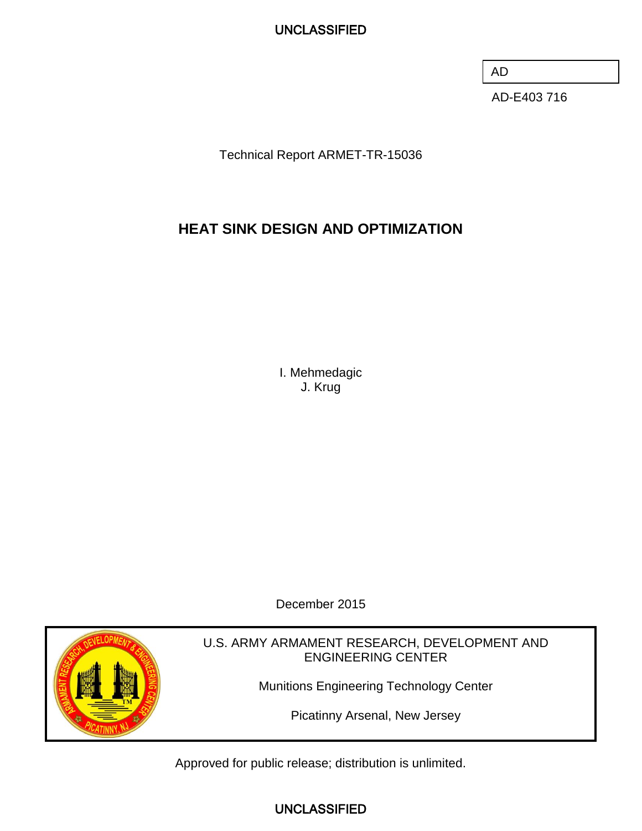AD

AD-E403 716

Technical Report ARMET-TR-15036

# **HEAT SINK DESIGN AND OPTIMIZATION**

I. Mehmedagic J. Krug

December 2015



U.S. ARMY ARMAMENT RESEARCH, DEVELOPMENT AND ENGINEERING CENTER

Munitions Engineering Technology Center

Picatinny Arsenal, New Jersey

Approved for public release; distribution is unlimited.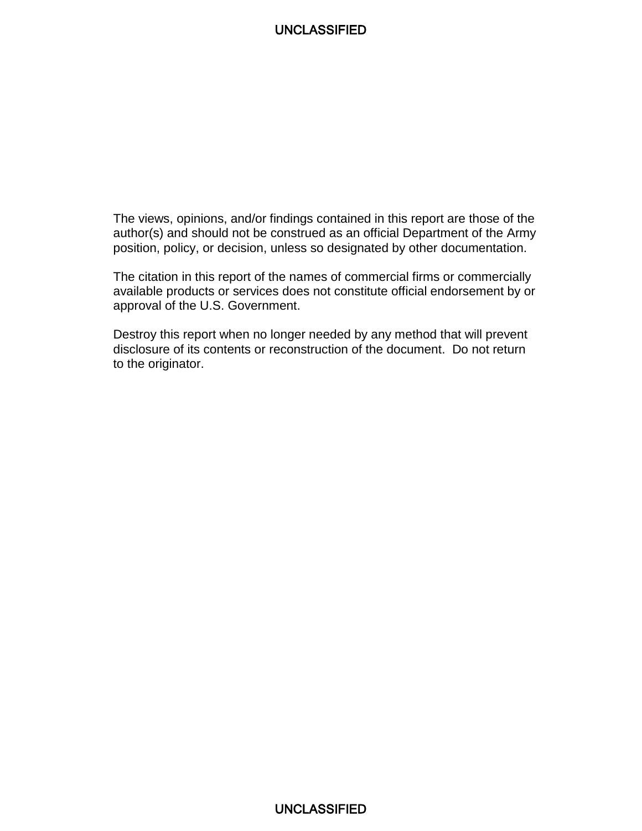The views, opinions, and/or findings contained in this report are those of the author(s) and should not be construed as an official Department of the Army position, policy, or decision, unless so designated by other documentation.

The citation in this report of the names of commercial firms or commercially available products or services does not constitute official endorsement by or approval of the U.S. Government.

Destroy this report when no longer needed by any method that will prevent disclosure of its contents or reconstruction of the document. Do not return to the originator.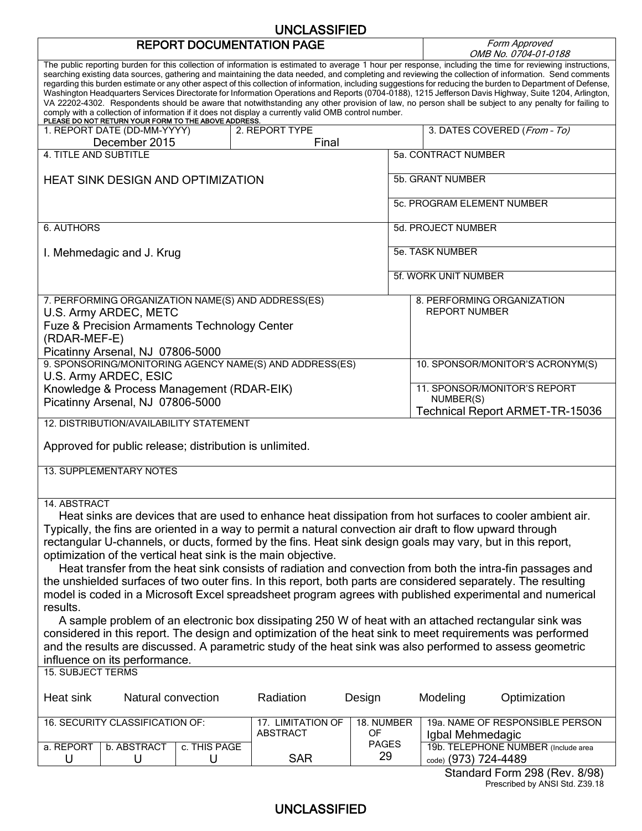# **REPORT DOCUMENTATION PAGE**

Form Approved<br>OMB No. 0704-01-0188

|                                                                                                                                                                                                         |                  |                    |                                                                                                           |       |                         |                            | 100 סטו ט-1 טיב <i>-1 טיי</i> ט. טאו                                                                                                                                                                                                                                                                                                                                                                                                                                                                                                                                                                                                                                                                                                                                                                  |
|---------------------------------------------------------------------------------------------------------------------------------------------------------------------------------------------------------|------------------|--------------------|-----------------------------------------------------------------------------------------------------------|-------|-------------------------|----------------------------|-------------------------------------------------------------------------------------------------------------------------------------------------------------------------------------------------------------------------------------------------------------------------------------------------------------------------------------------------------------------------------------------------------------------------------------------------------------------------------------------------------------------------------------------------------------------------------------------------------------------------------------------------------------------------------------------------------------------------------------------------------------------------------------------------------|
| comply with a collection of information if it does not display a currently valid OMB control number.<br>PLEASE DO NOT RETURN YOUR FORM TO THE ABOVE ADDRESS.                                            |                  |                    |                                                                                                           |       |                         |                            | The public reporting burden for this collection of information is estimated to average 1 hour per response, including the time for reviewing instructions,<br>searching existing data sources, gathering and maintaining the data needed, and completing and reviewing the collection of information. Send comments<br>regarding this burden estimate or any other aspect of this collection of information, including suggestions for reducing the burden to Department of Defense,<br>Washington Headquarters Services Directorate for Information Operations and Reports (0704-0188), 1215 Jefferson Davis Highway, Suite 1204, Arlington,<br>VA 22202-4302. Respondents should be aware that notwithstanding any other provision of law, no person shall be subject to any penalty for failing to |
| 1. REPORT DATE (DD-MM-YYYY)                                                                                                                                                                             | December 2015    |                    | 2. REPORT TYPE                                                                                            | Final |                         |                            | 3. DATES COVERED (From - To)                                                                                                                                                                                                                                                                                                                                                                                                                                                                                                                                                                                                                                                                                                                                                                          |
| <b>4. TITLE AND SUBTITLE</b>                                                                                                                                                                            |                  |                    |                                                                                                           |       |                         | 5a. CONTRACT NUMBER        |                                                                                                                                                                                                                                                                                                                                                                                                                                                                                                                                                                                                                                                                                                                                                                                                       |
|                                                                                                                                                                                                         |                  |                    |                                                                                                           |       |                         |                            |                                                                                                                                                                                                                                                                                                                                                                                                                                                                                                                                                                                                                                                                                                                                                                                                       |
| HEAT SINK DESIGN AND OPTIMIZATION                                                                                                                                                                       |                  |                    |                                                                                                           |       |                         | 5b. GRANT NUMBER           |                                                                                                                                                                                                                                                                                                                                                                                                                                                                                                                                                                                                                                                                                                                                                                                                       |
|                                                                                                                                                                                                         |                  |                    |                                                                                                           |       |                         | 5c. PROGRAM ELEMENT NUMBER |                                                                                                                                                                                                                                                                                                                                                                                                                                                                                                                                                                                                                                                                                                                                                                                                       |
| <b>6. AUTHORS</b>                                                                                                                                                                                       |                  |                    |                                                                                                           |       |                         | 5d. PROJECT NUMBER         |                                                                                                                                                                                                                                                                                                                                                                                                                                                                                                                                                                                                                                                                                                                                                                                                       |
| I. Mehmedagic and J. Krug                                                                                                                                                                               |                  |                    |                                                                                                           |       |                         | 5e. TASK NUMBER            |                                                                                                                                                                                                                                                                                                                                                                                                                                                                                                                                                                                                                                                                                                                                                                                                       |
|                                                                                                                                                                                                         |                  |                    |                                                                                                           |       |                         | 5f. WORK UNIT NUMBER       |                                                                                                                                                                                                                                                                                                                                                                                                                                                                                                                                                                                                                                                                                                                                                                                                       |
| 7. PERFORMING ORGANIZATION NAME(S) AND ADDRESS(ES)<br>U.S. Army ARDEC, METC<br>Fuze & Precision Armaments Technology Center<br>(RDAR-MEF-E)<br>Picatinny Arsenal, NJ 07806-5000                         |                  |                    |                                                                                                           |       |                         | <b>REPORT NUMBER</b>       | 8. PERFORMING ORGANIZATION                                                                                                                                                                                                                                                                                                                                                                                                                                                                                                                                                                                                                                                                                                                                                                            |
| 9. SPONSORING/MONITORING AGENCY NAME(S) AND ADDRESS(ES)<br>U.S. Army ARDEC, ESIC                                                                                                                        |                  |                    |                                                                                                           |       |                         |                            | 10. SPONSOR/MONITOR'S ACRONYM(S)                                                                                                                                                                                                                                                                                                                                                                                                                                                                                                                                                                                                                                                                                                                                                                      |
| Knowledge & Process Management (RDAR-EIK)<br>Picatinny Arsenal, NJ 07806-5000                                                                                                                           |                  |                    |                                                                                                           |       |                         | NUMBER(S)                  | 11. SPONSOR/MONITOR'S REPORT<br><b>Technical Report ARMET-TR-15036</b>                                                                                                                                                                                                                                                                                                                                                                                                                                                                                                                                                                                                                                                                                                                                |
| 12. DISTRIBUTION/AVAILABILITY STATEMENT                                                                                                                                                                 |                  |                    |                                                                                                           |       |                         |                            |                                                                                                                                                                                                                                                                                                                                                                                                                                                                                                                                                                                                                                                                                                                                                                                                       |
| Approved for public release; distribution is unlimited.                                                                                                                                                 |                  |                    |                                                                                                           |       |                         |                            |                                                                                                                                                                                                                                                                                                                                                                                                                                                                                                                                                                                                                                                                                                                                                                                                       |
| <b>13. SUPPLEMENTARY NOTES</b>                                                                                                                                                                          |                  |                    |                                                                                                           |       |                         |                            |                                                                                                                                                                                                                                                                                                                                                                                                                                                                                                                                                                                                                                                                                                                                                                                                       |
| 14. ABSTRACT<br>rectangular U-channels, or ducts, formed by the fins. Heat sink design goals may vary, but in this report,<br>optimization of the vertical heat sink is the main objective.<br>results. |                  |                    | Typically, the fins are oriented in a way to permit a natural convection air draft to flow upward through |       |                         |                            | Heat sinks are devices that are used to enhance heat dissipation from hot surfaces to cooler ambient air.<br>Heat transfer from the heat sink consists of radiation and convection from both the intra-fin passages and<br>the unshielded surfaces of two outer fins. In this report, both parts are considered separately. The resulting<br>model is coded in a Microsoft Excel spreadsheet program agrees with published experimental and numerical<br>A sample problem of an electronic box dissipating 250 W of heat with an attached rectangular sink was                                                                                                                                                                                                                                        |
| influence on its performance.<br><b>15. SUBJECT TERMS</b>                                                                                                                                               |                  |                    |                                                                                                           |       |                         |                            | considered in this report. The design and optimization of the heat sink to meet requirements was performed<br>and the results are discussed. A parametric study of the heat sink was also performed to assess geometric                                                                                                                                                                                                                                                                                                                                                                                                                                                                                                                                                                               |
| Heat sink                                                                                                                                                                                               |                  | Natural convection | Radiation                                                                                                 |       | Design                  | Modeling                   | Optimization                                                                                                                                                                                                                                                                                                                                                                                                                                                                                                                                                                                                                                                                                                                                                                                          |
| 16. SECURITY CLASSIFICATION OF:                                                                                                                                                                         |                  |                    | 17. LIMITATION OF<br><b>ABSTRACT</b>                                                                      |       | 18. NUMBER<br><b>OF</b> | Igbal Mehmedagic           | 19a. NAME OF RESPONSIBLE PERSON                                                                                                                                                                                                                                                                                                                                                                                                                                                                                                                                                                                                                                                                                                                                                                       |
| a. REPORT<br>U                                                                                                                                                                                          | b. ABSTRACT<br>U | c. THIS PAGE<br>U  | <b>SAR</b>                                                                                                |       | <b>PAGES</b><br>29      | code) (973) 724-4489       | 19b. TELEPHONE NUMBER (Include area                                                                                                                                                                                                                                                                                                                                                                                                                                                                                                                                                                                                                                                                                                                                                                   |
|                                                                                                                                                                                                         |                  |                    |                                                                                                           |       |                         |                            | Standard Form 298 (Rev. 8/98)<br>Prescribed by ANSI Std. Z39.18                                                                                                                                                                                                                                                                                                                                                                                                                                                                                                                                                                                                                                                                                                                                       |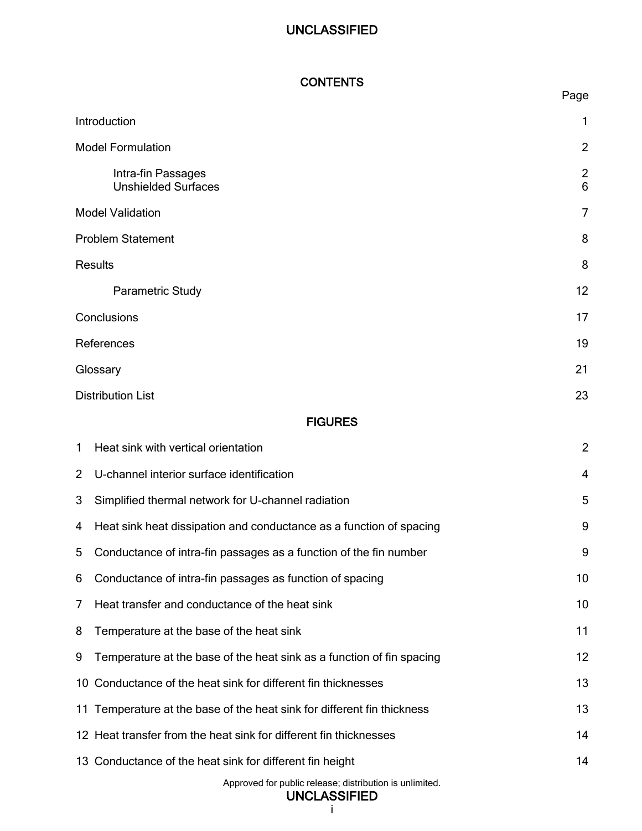| <b>CONTENTS</b> |  |  |
|-----------------|--|--|
|-----------------|--|--|

|                |                                                                                                                     | Page                             |
|----------------|---------------------------------------------------------------------------------------------------------------------|----------------------------------|
|                | Introduction                                                                                                        | 1                                |
|                | <b>Model Formulation</b>                                                                                            | $\overline{2}$                   |
|                | Intra-fin Passages<br><b>Unshielded Surfaces</b>                                                                    | $\overline{c}$<br>$6\phantom{a}$ |
|                | <b>Model Validation</b>                                                                                             | 7                                |
|                | <b>Problem Statement</b>                                                                                            | 8                                |
|                | <b>Results</b>                                                                                                      | 8                                |
|                | Parametric Study                                                                                                    | 12                               |
|                | Conclusions                                                                                                         | 17                               |
|                | References                                                                                                          | 19                               |
|                | Glossary                                                                                                            | 21                               |
|                | <b>Distribution List</b>                                                                                            | 23                               |
|                | <b>FIGURES</b>                                                                                                      |                                  |
| 1              | Heat sink with vertical orientation                                                                                 | $\overline{2}$                   |
| $\overline{2}$ | U-channel interior surface identification                                                                           | 4                                |
| 3              | Simplified thermal network for U-channel radiation                                                                  | 5                                |
| 4              | Heat sink heat dissipation and conductance as a function of spacing                                                 | 9                                |
| 5              | Conductance of intra-fin passages as a function of the fin number                                                   | 9                                |
| 6              | Conductance of intra-fin passages as function of spacing                                                            | 10                               |
| 7              | Heat transfer and conductance of the heat sink                                                                      | 10                               |
| 8              | Temperature at the base of the heat sink                                                                            | 11                               |
| 9              | Temperature at the base of the heat sink as a function of fin spacing                                               | 12                               |
| 10             | Conductance of the heat sink for different fin thicknesses                                                          | 13                               |
|                | 11 Temperature at the base of the heat sink for different fin thickness                                             | 13                               |
|                | 12 Heat transfer from the heat sink for different fin thicknesses                                                   | 14                               |
|                | 13 Conductance of the heat sink for different fin height<br>Approved for public release; distribution is unlimited. | 14                               |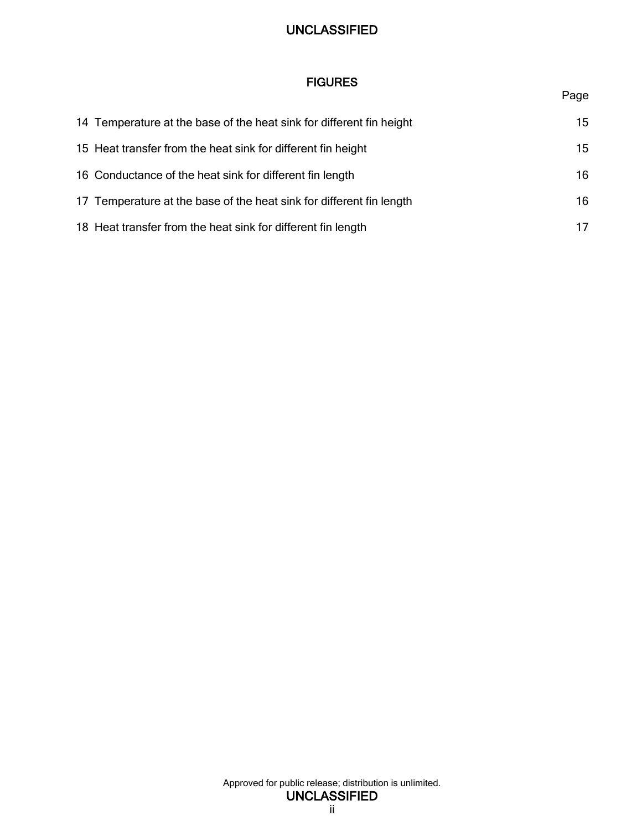## FIGURES

## Page

| 14 Temperature at the base of the heat sink for different fin height | 15 |
|----------------------------------------------------------------------|----|
| 15 Heat transfer from the heat sink for different fin height         | 15 |
| 16 Conductance of the heat sink for different fin length             | 16 |
| 17 Temperature at the base of the heat sink for different fin length | 16 |
| 18 Heat transfer from the heat sink for different fin length         | 17 |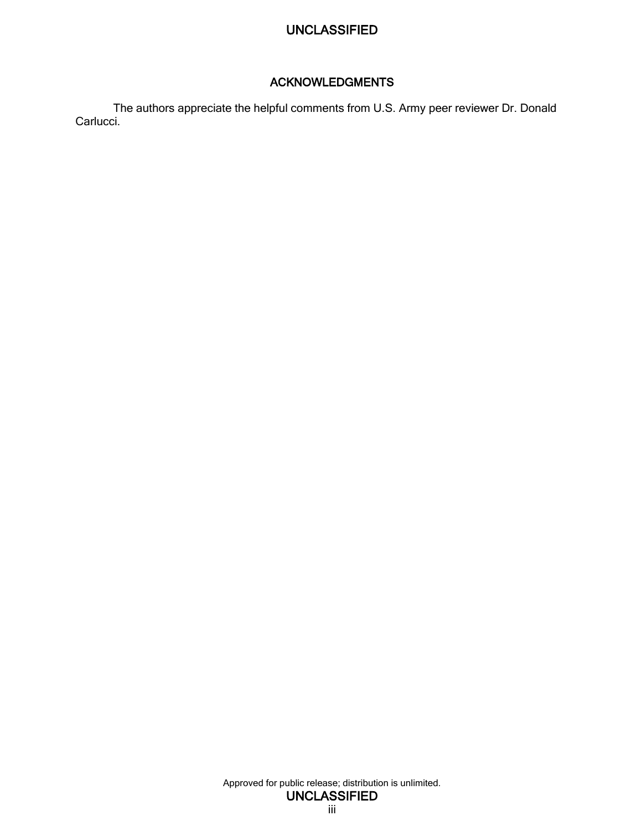## ACKNOWLEDGMENTS

The authors appreciate the helpful comments from U.S. Army peer reviewer Dr. Donald Carlucci.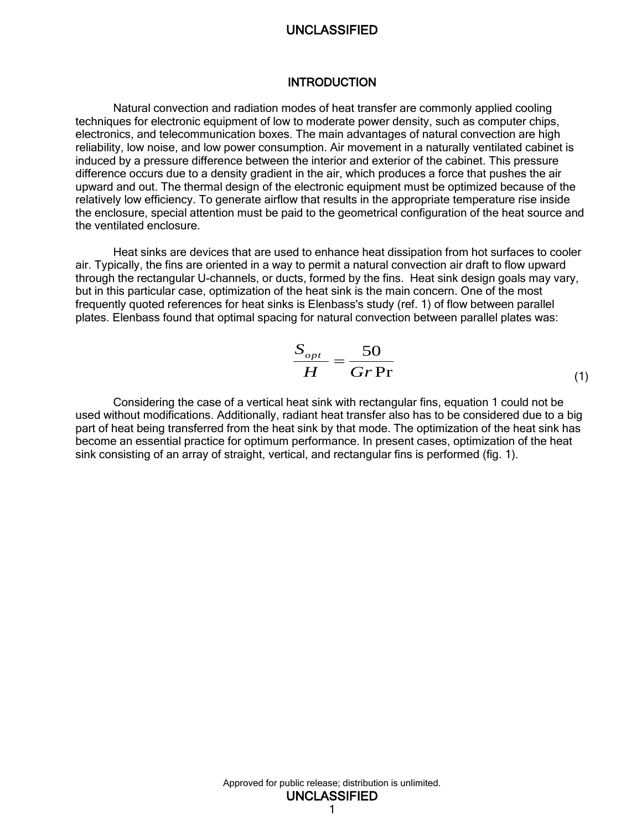#### **INTRODUCTION**

<span id="page-8-0"></span>Natural convection and radiation modes of heat transfer are commonly applied cooling techniques for electronic equipment of low to moderate power density, such as computer chips, electronics, and telecommunication boxes. The main advantages of natural convection are high reliability, low noise, and low power consumption. Air movement in a naturally ventilated cabinet is induced by a pressure difference between the interior and exterior of the cabinet. This pressure difference occurs due to a density gradient in the air, which produces a force that pushes the air upward and out. The thermal design of the electronic equipment must be optimized because of the relatively low efficiency. To generate airflow that results in the appropriate temperature rise inside the enclosure, special attention must be paid to the geometrical configuration of the heat source and the ventilated enclosure.

Heat sinks are devices that are used to enhance heat dissipation from hot surfaces to cooler air. Typically, the fins are oriented in a way to permit a natural convection air draft to flow upward through the rectangular U-channels, or ducts, formed by the fins. Heat sink design goals may vary, but in this particular case, optimization of the heat sink is the main concern. One of the most frequently quoted references for heat sinks is Elenbass's study (ref. 1) of flow between parallel plates. Elenbass found that optimal spacing for natural convection between parallel plates was:

$$
\frac{S_{opt}}{H} = \frac{50}{Gr \, Pr} \tag{1}
$$

Considering the case of a vertical heat sink with rectangular fins, equation 1 could not be used without modifications. Additionally, radiant heat transfer also has to be considered due to a big part of heat being transferred from the heat sink by that mode. The optimization of the heat sink has become an essential practice for optimum performance. In present cases, optimization of the heat sink consisting of an array of straight, vertical, and rectangular fins is performed (fig. 1).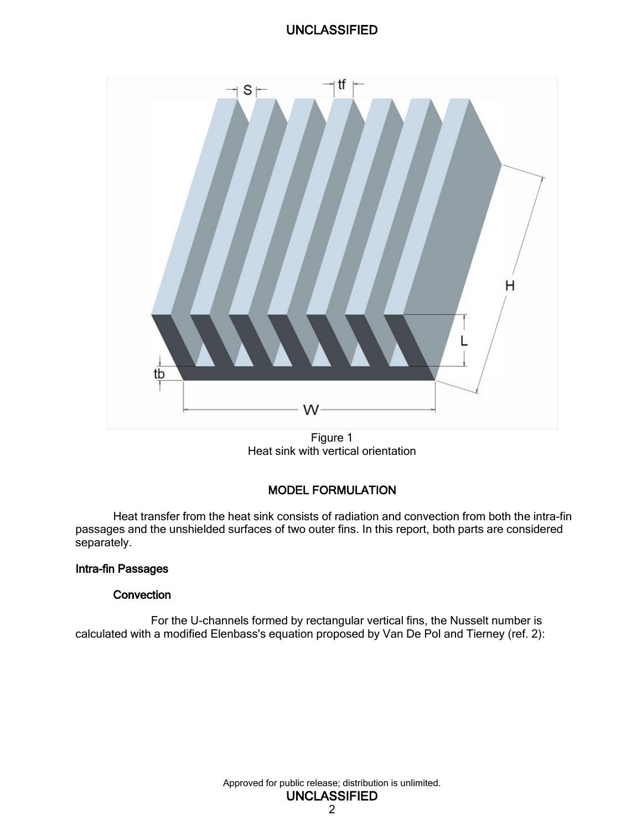

Figure 1 Heat sink with vertical orientation

## MODEL FORMULATION

<span id="page-9-2"></span><span id="page-9-0"></span>Heat transfer from the heat sink consists of radiation and convection from both the intra-fin passages and the unshielded surfaces of two outer fins. In this report, both parts are considered separately.

#### <span id="page-9-1"></span>Intra-fin Passages

#### **Convection**

For the U-channels formed by rectangular vertical fins, the Nusselt number is calculated with a modified Elenbass's equation proposed by Van De Pol and Tierney (ref. 2):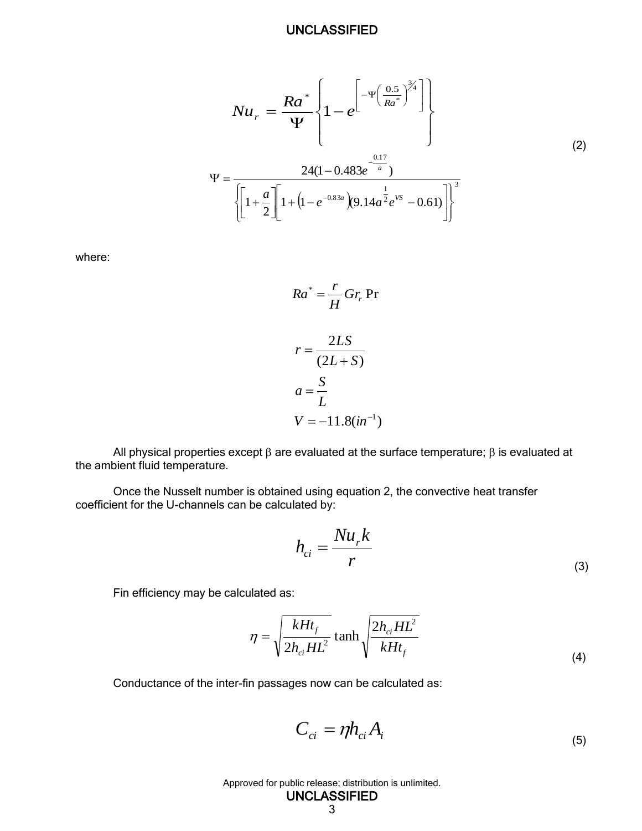$$
Nu_r = \frac{Ra^*}{\Psi} \left\{ 1 - e^{\left[ -\Psi \left( \frac{0.5}{Ra^*} \right)^{3/4} \right]} \right\}
$$
  

$$
\Psi = \frac{24(1 - 0.483e^{-\frac{0.17}{a}})}{\sqrt{\left[ 1 + \frac{a}{2} \right] \left[ 1 + \left( 1 - e^{-0.83a} \right) (9.14a^{\frac{1}{2}} e^{VS} - 0.61 \right) \right]^3}}
$$
  
(2)

where:

$$
Ra^* = \frac{r}{H} Gr_r Pr
$$

$$
r = \frac{2LS}{(2L+S)}
$$

$$
a = \frac{S}{L}
$$

$$
V = -11.8(in^{-1})
$$

All physical properties except  $\beta$  are evaluated at the surface temperature;  $\beta$  is evaluated at the ambient fluid temperature.

Once the Nusselt number is obtained using equation 2, the convective heat transfer coefficient for the U-channels can be calculated by:

$$
h_{ci} = \frac{Nu_r k}{r}
$$
 (3)

Fin efficiency may be calculated as:

$$
\eta = \sqrt{\frac{kHt_f}{2h_{ci}HL^2}} \tanh \sqrt{\frac{2h_{ci}HL^2}{kHt_f}}
$$
\n(4)

Conductance of the inter-fin passages now can be calculated as:

$$
C_{ci} = \eta h_{ci} A_i \tag{5}
$$

Approved for public release; distribution is unlimited.

3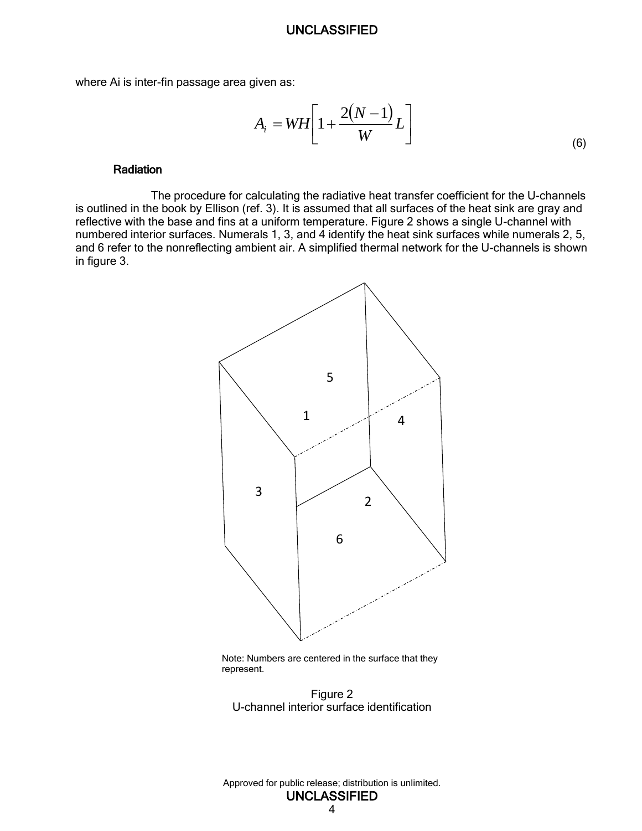where Ai is inter-fin passage area given as:

$$
A_i = WH \left[ 1 + \frac{2(N-1)}{W} L \right]
$$
\n<sup>(6)</sup>

#### Radiation

The procedure for calculating the radiative heat transfer coefficient for the U-channels is outlined in the book by Ellison (ref. 3). It is assumed that all surfaces of the heat sink are gray and reflective with the base and fins at a uniform temperature. Figure 2 shows a single U-channel with numbered interior surfaces. Numerals 1, 3, and 4 identify the heat sink surfaces while numerals 2, 5, and 6 refer to the nonreflecting ambient air. A simplified thermal network for the U-channels is shown in figure 3.



<span id="page-11-0"></span>Note: Numbers are centered in the surface that they represent.

Figure 2 U-channel interior surface identification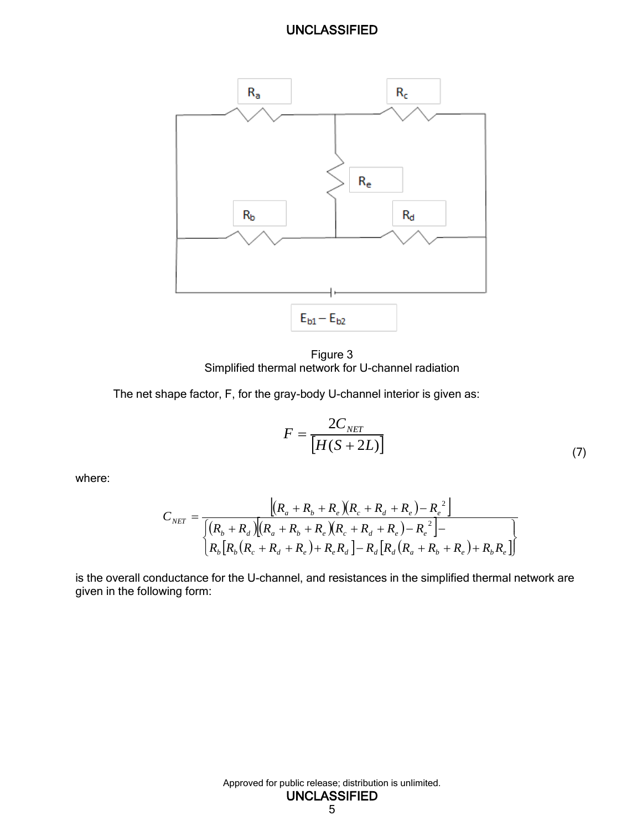

Figure 3 Simplified thermal network for U-channel radiation

<span id="page-12-0"></span>The net shape factor, F, for the gray-body U-channel interior is given as:

$$
F = \frac{2C_{NET}}{[H(S + 2L)]}
$$
\n(7)

where:

$$
C_{NET} = \frac{[(R_a + R_b + R_e)(R_c + R_d + R_e) - R_e^2]}{\int (R_b + R_d)[(R_a + R_b + R_e)(R_c + R_d + R_e) - R_e^2] - \left[R_b[R_b(R_c + R_d + R_e) + R_eR_d\right] - R_d[R_d(R_a + R_b + R_e) + R_bR_e]}
$$

is the overall conductance for the U-channel, and resistances in the simplified thermal network are given in the following form: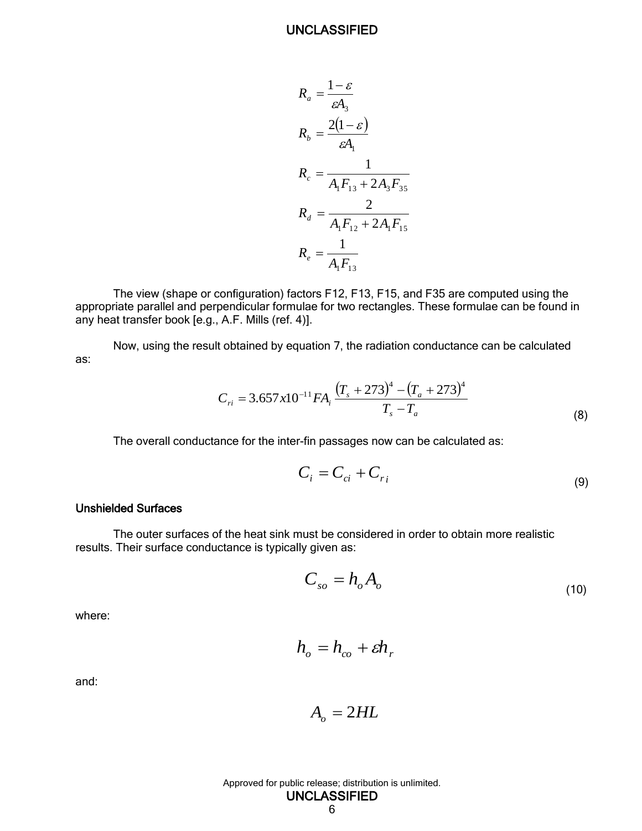$$
R_a = \frac{1 - \varepsilon}{\varepsilon A_3}
$$
  
\n
$$
R_b = \frac{2(1 - \varepsilon)}{\varepsilon A_1}
$$
  
\n
$$
R_c = \frac{1}{A_1 F_{13} + 2A_3 F_{35}}
$$
  
\n
$$
R_d = \frac{2}{A_1 F_{12} + 2A_1 F_{15}}
$$
  
\n
$$
R_e = \frac{1}{A_1 F_{13}}
$$

The view (shape or configuration) factors F12, F13, F15, and F35 are computed using the appropriate parallel and perpendicular formulae for two rectangles. These formulae can be found in any heat transfer book [e.g., A.F. Mills (ref. 4)].

Now, using the result obtained by equation 7, the radiation conductance can be calculated as:

$$
C_{ri} = 3.657x10^{-11}FA_i \frac{(T_s + 273)^4 - (T_a + 273)^4}{T_s - T_a}
$$
\n(8)

The overall conductance for the inter-fin passages now can be calculated as:

$$
C_i = C_{ci} + C_{ri}
$$
\n<sup>(9)</sup>

#### <span id="page-13-0"></span>Unshielded Surfaces

The outer surfaces of the heat sink must be considered in order to obtain more realistic results. Their surface conductance is typically given as:

$$
C_{so} = h_o A_o \tag{10}
$$

where:

$$
h_o = h_{co} + \varepsilon h_r
$$

and:

$$
A_o = 2HL
$$

Approved for public release; distribution is unlimited.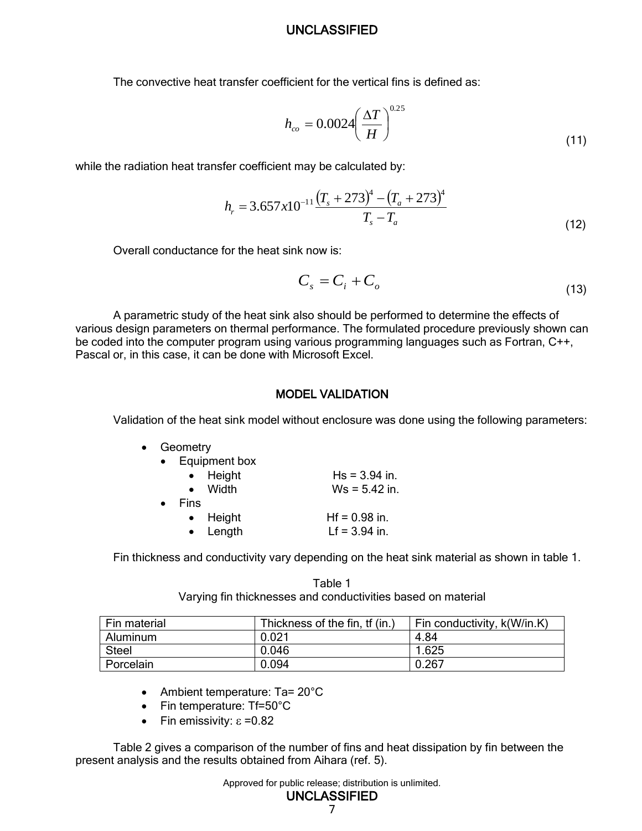The convective heat transfer coefficient for the vertical fins is defined as:

$$
h_{co} = 0.0024 \left(\frac{\Delta T}{H}\right)^{0.25}
$$
 (11)

while the radiation heat transfer coefficient may be calculated by:

$$
h_r = 3.657 \times 10^{-11} \frac{\left(T_s + 273\right)^4 - \left(T_a + 273\right)^4}{T_s - T_a}
$$
\n(12)

Overall conductance for the heat sink now is:

$$
C_s = C_i + C_o \tag{13}
$$

A parametric study of the heat sink also should be performed to determine the effects of various design parameters on thermal performance. The formulated procedure previously shown can be coded into the computer program using various programming languages such as Fortran, C++, Pascal or, in this case, it can be done with Microsoft Excel.

#### MODEL VALIDATION

<span id="page-14-0"></span>Validation of the heat sink model without enclosure was done using the following parameters:

|           | Geometry             |                 |
|-----------|----------------------|-----------------|
| $\bullet$ | <b>Equipment box</b> |                 |
|           | • Height             | $Hs = 3.94$ in. |
|           | $\bullet$ Width      | $Ws = 5.42$ in. |
|           | Fins                 |                 |
|           | • Height             | $Hf = 0.98$ in. |
|           | $\bullet$ Length     | $Lf = 3.94$ in. |
|           |                      |                 |

Fin thickness and conductivity vary depending on the heat sink material as shown in table 1.

Table 1 Varying fin thicknesses and conductivities based on material

| Fin material | Thickness of the fin, tf (in.) | Fin conductivity, k(W/in.K) |
|--------------|--------------------------------|-----------------------------|
| Aluminum     | 0.021                          | 4.84                        |
| <b>Steel</b> | 0.046                          | 1.625                       |
| Porcelain    | 0.094                          | 0.267                       |

- Ambient temperature: Ta= 20°C
- Fin temperature: Tf=50°C
- Fin emissivity:  $\epsilon = 0.82$

Table 2 gives a comparison of the number of fins and heat dissipation by fin between the present analysis and the results obtained from Aihara (ref. 5).

Approved for public release; distribution is unlimited.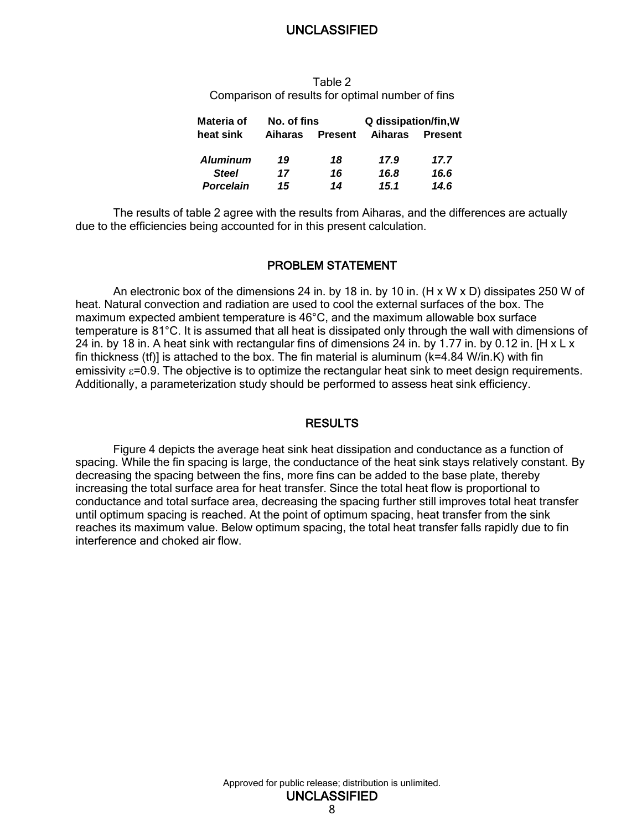Table 2 Comparison of results for optimal number of fins

| Materia of       | No. of fins |                | Q dissipation/fin, W |                |  |
|------------------|-------------|----------------|----------------------|----------------|--|
| heat sink        | Aiharas     | <b>Present</b> | Aiharas              | <b>Present</b> |  |
| <b>Aluminum</b>  | 19          | 18             | 17.9                 | 17.7           |  |
| <b>Steel</b>     | 17          | 16             | 16.8                 | 16.6           |  |
| <b>Porcelain</b> | 15          | 14             | 15.1                 | 14.6           |  |

The results of table 2 agree with the results from Aiharas, and the differences are actually due to the efficiencies being accounted for in this present calculation.

#### PROBLEM STATEMENT

<span id="page-15-0"></span>An electronic box of the dimensions 24 in. by 18 in. by 10 in.  $(H \times W \times D)$  dissipates 250 W of heat. Natural convection and radiation are used to cool the external surfaces of the box. The maximum expected ambient temperature is 46°C, and the maximum allowable box surface temperature is 81°C. It is assumed that all heat is dissipated only through the wall with dimensions of 24 in. by 18 in. A heat sink with rectangular fins of dimensions 24 in. by 1.77 in. by 0.12 in. [H x L x fin thickness (tf)] is attached to the box. The fin material is aluminum (k=4.84 W/in.K) with fin emissivity  $\varepsilon$ =0.9. The objective is to optimize the rectangular heat sink to meet design requirements. Additionally, a parameterization study should be performed to assess heat sink efficiency.

#### **RESULTS**

<span id="page-15-1"></span>Figure 4 depicts the average heat sink heat dissipation and conductance as a function of spacing. While the fin spacing is large, the conductance of the heat sink stays relatively constant. By decreasing the spacing between the fins, more fins can be added to the base plate, thereby increasing the total surface area for heat transfer. Since the total heat flow is proportional to conductance and total surface area, decreasing the spacing further still improves total heat transfer until optimum spacing is reached. At the point of optimum spacing, heat transfer from the sink reaches its maximum value. Below optimum spacing, the total heat transfer falls rapidly due to fin interference and choked air flow.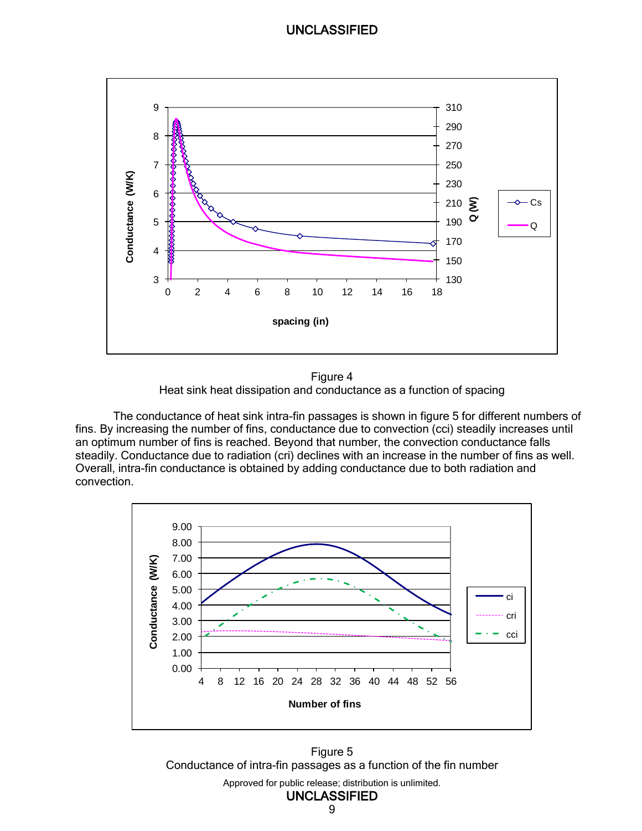

Figure 4 Heat sink heat dissipation and conductance as a function of spacing

<span id="page-16-0"></span>The conductance of heat sink intra-fin passages is shown in figure 5 for different numbers of fins. By increasing the number of fins, conductance due to convection (cci) steadily increases until an optimum number of fins is reached. Beyond that number, the convection conductance falls steadily. Conductance due to radiation (cri) declines with an increase in the number of fins as well. Overall, intra-fin conductance is obtained by adding conductance due to both radiation and convection.



<span id="page-16-1"></span>Approved for public release; distribution is unlimited. UNCLASSIFIED Figure 5 Conductance of intra-fin passages as a function of the fin number

9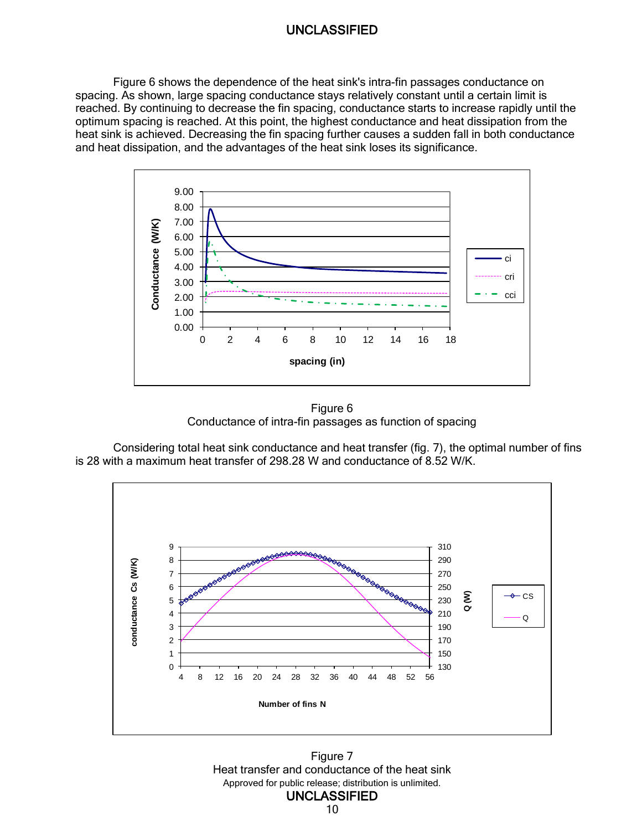Figure 6 shows the dependence of the heat sink's intra-fin passages conductance on spacing. As shown, large spacing conductance stays relatively constant until a certain limit is reached. By continuing to decrease the fin spacing, conductance starts to increase rapidly until the optimum spacing is reached. At this point, the highest conductance and heat dissipation from the heat sink is achieved. Decreasing the fin spacing further causes a sudden fall in both conductance and heat dissipation, and the advantages of the heat sink loses its significance.



Figure 6 Conductance of intra-fin passages as function of spacing

<span id="page-17-0"></span>Considering total heat sink conductance and heat transfer (fig. 7), the optimal number of fins is 28 with a maximum heat transfer of 298.28 W and conductance of 8.52 W/K.



<span id="page-17-1"></span>Approved for public release; distribution is unlimited. UNCLASSIFIED Figure 7 Heat transfer and conductance of the heat sink

10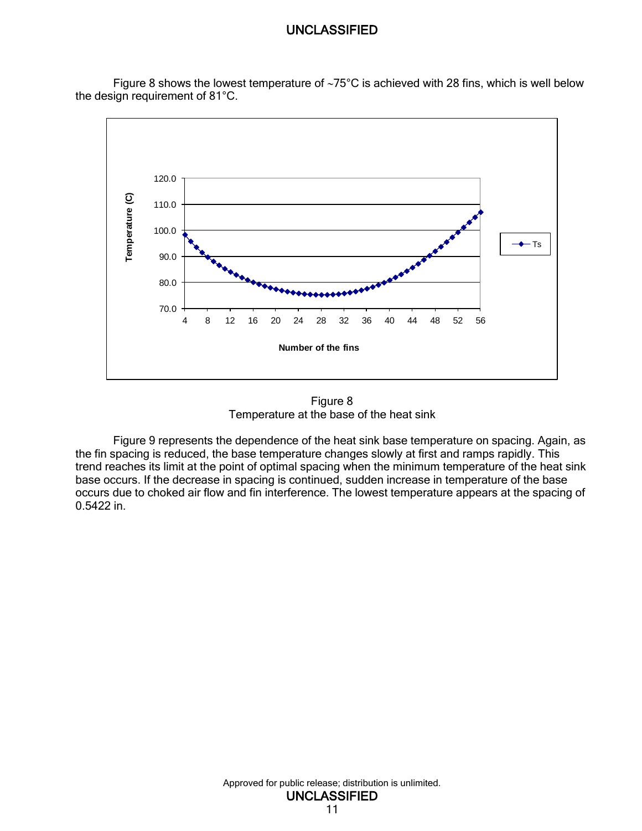Figure 8 shows the lowest temperature of  $\sim 75^{\circ}$ C is achieved with 28 fins, which is well below the design requirement of 81°C.



Figure 8 Temperature at the base of the heat sink

<span id="page-18-0"></span>Figure 9 represents the dependence of the heat sink base temperature on spacing. Again, as the fin spacing is reduced, the base temperature changes slowly at first and ramps rapidly. This trend reaches its limit at the point of optimal spacing when the minimum temperature of the heat sink base occurs. If the decrease in spacing is continued, sudden increase in temperature of the base occurs due to choked air flow and fin interference. The lowest temperature appears at the spacing of 0.5422 in.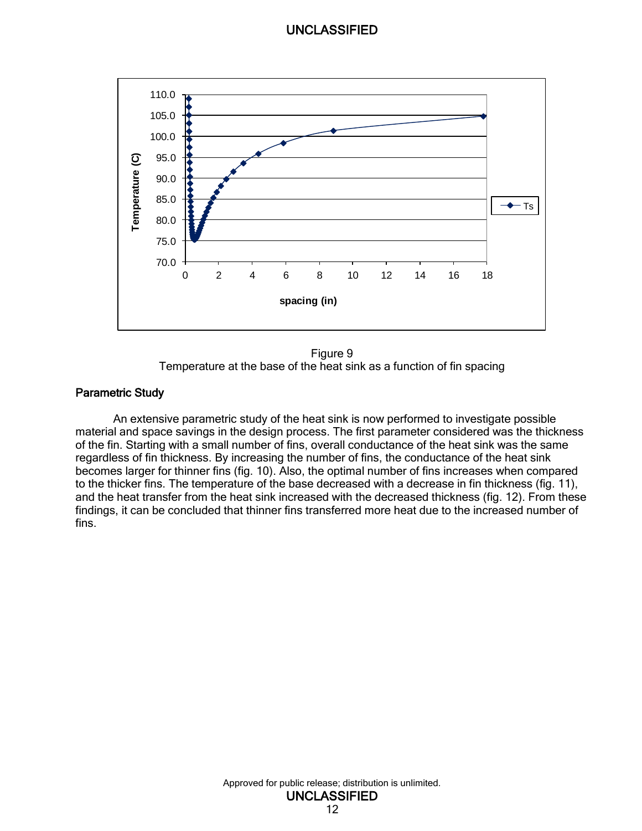

Figure 9 Temperature at the base of the heat sink as a function of fin spacing

#### <span id="page-19-1"></span><span id="page-19-0"></span>Parametric Study

An extensive parametric study of the heat sink is now performed to investigate possible material and space savings in the design process. The first parameter considered was the thickness of the fin. Starting with a small number of fins, overall conductance of the heat sink was the same regardless of fin thickness. By increasing the number of fins, the conductance of the heat sink becomes larger for thinner fins (fig. 10). Also, the optimal number of fins increases when compared to the thicker fins. The temperature of the base decreased with a decrease in fin thickness (fig. 11), and the heat transfer from the heat sink increased with the decreased thickness (fig. 12). From these findings, it can be concluded that thinner fins transferred more heat due to the increased number of fins.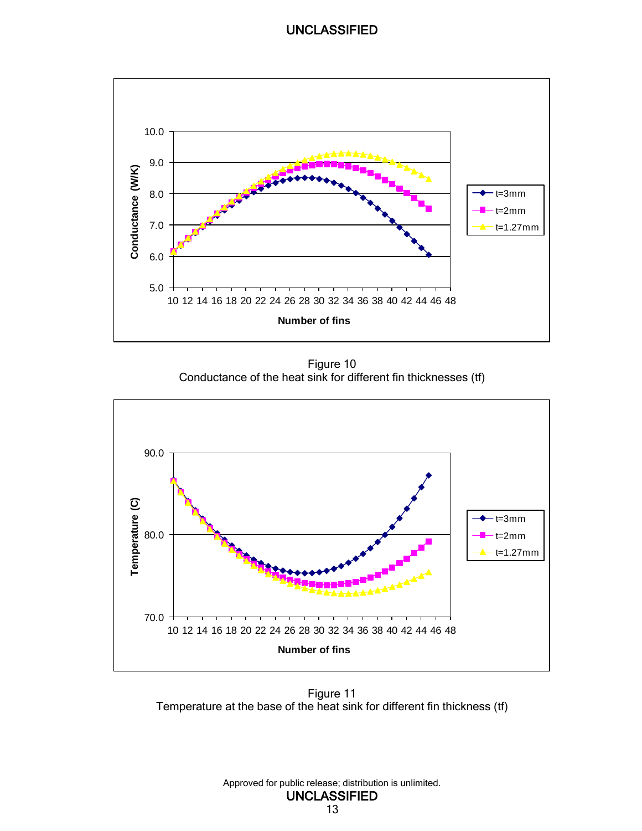

Figure 10 Conductance of the heat sink for different fin thicknesses (tf)

<span id="page-20-0"></span>

<span id="page-20-1"></span>Figure 11 Temperature at the base of the heat sink for different fin thickness (tf)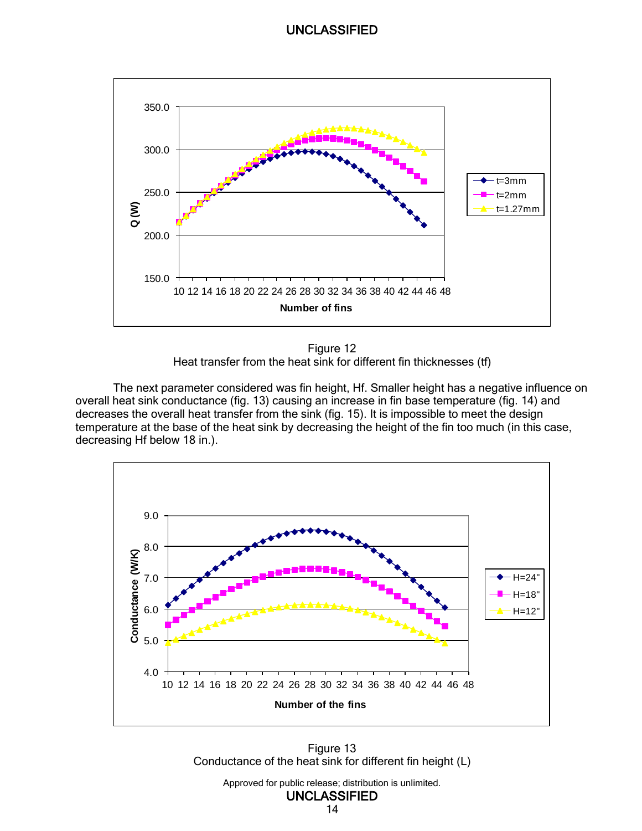

Figure 12 Heat transfer from the heat sink for different fin thicknesses (tf)

<span id="page-21-0"></span>The next parameter considered was fin height, Hf. Smaller height has a negative influence on overall heat sink conductance (fig. 13) causing an increase in fin base temperature (fig. 14) and decreases the overall heat transfer from the sink (fig. 15). It is impossible to meet the design temperature at the base of the heat sink by decreasing the height of the fin too much (in this case, decreasing Hf below 18 in.).



<span id="page-21-1"></span>Figure 13 Conductance of the heat sink for different fin height (L)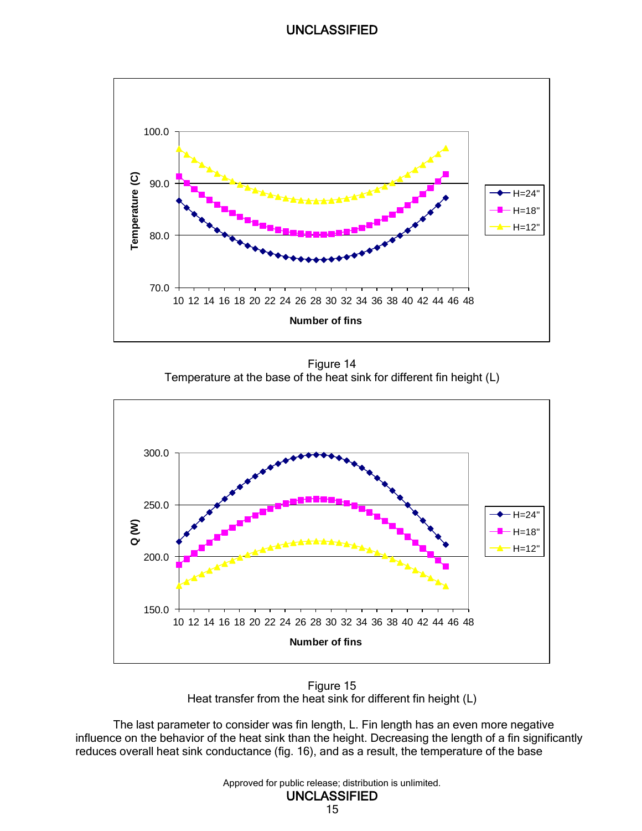

Figure 14 Temperature at the base of the heat sink for different fin height (L)

<span id="page-22-0"></span>

Figure 15 Heat transfer from the heat sink for different fin height (L)

<span id="page-22-1"></span>The last parameter to consider was fin length, L. Fin length has an even more negative influence on the behavior of the heat sink than the height. Decreasing the length of a fin significantly reduces overall heat sink conductance (fig. 16), and as a result, the temperature of the base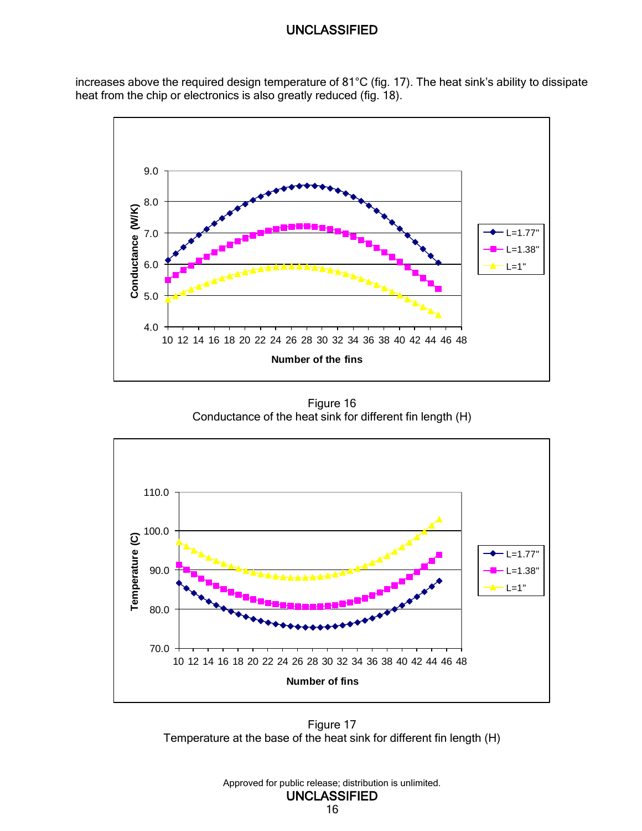increases above the required design temperature of 81°C (fig. 17). The heat sink's ability to dissipate heat from the chip or electronics is also greatly reduced (fig. 18).



Figure 16 Conductance of the heat sink for different fin length (H)

<span id="page-23-0"></span>

<span id="page-23-1"></span>Figure 17 Temperature at the base of the heat sink for different fin length (H)



16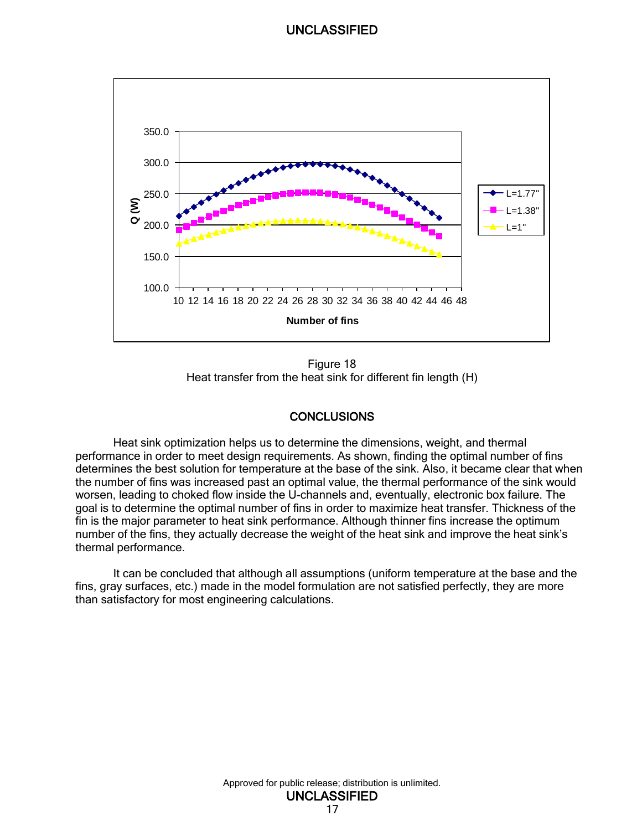

Figure 18 Heat transfer from the heat sink for different fin length (H)

#### **CONCLUSIONS**

<span id="page-24-1"></span><span id="page-24-0"></span>Heat sink optimization helps us to determine the dimensions, weight, and thermal performance in order to meet design requirements. As shown, finding the optimal number of fins determines the best solution for temperature at the base of the sink. Also, it became clear that when the number of fins was increased past an optimal value, the thermal performance of the sink would worsen, leading to choked flow inside the U-channels and, eventually, electronic box failure. The goal is to determine the optimal number of fins in order to maximize heat transfer. Thickness of the fin is the major parameter to heat sink performance. Although thinner fins increase the optimum number of the fins, they actually decrease the weight of the heat sink and improve the heat sink's thermal performance.

It can be concluded that although all assumptions (uniform temperature at the base and the fins, gray surfaces, etc.) made in the model formulation are not satisfied perfectly, they are more than satisfactory for most engineering calculations.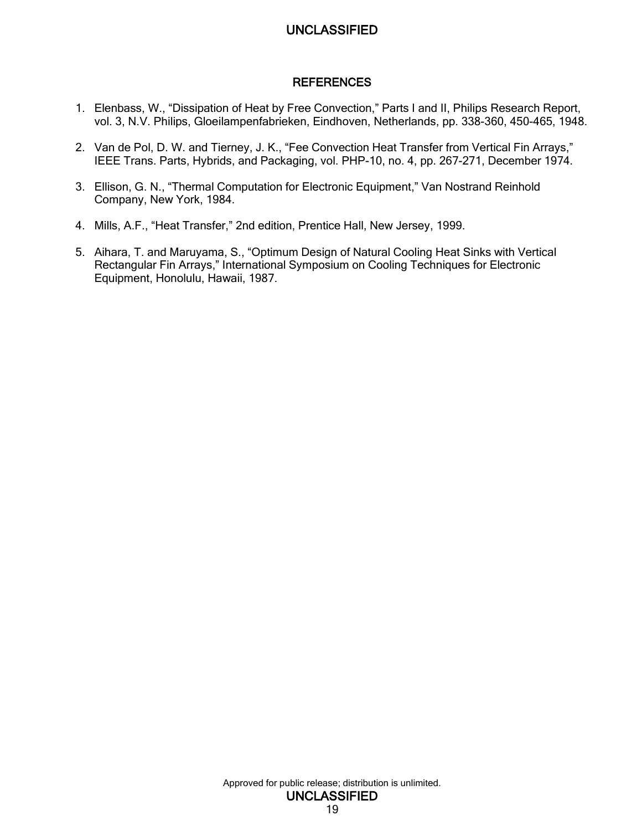#### **REFERENCES**

- <span id="page-26-0"></span>1. Elenbass, W., "Dissipation of Heat by Free Convection," Parts I and II, Philips Research Report, vol. 3, N.V. Philips, Gloeilampenfabrieken, Eindhoven, Netherlands, pp. 338-360, 450-465, 1948.
- 2. Van de Pol, D. W. and Tierney, J. K., "Fee Convection Heat Transfer from Vertical Fin Arrays," IEEE Trans. Parts, Hybrids, and Packaging, vol. PHP-10, no. 4, pp. 267-271, December 1974.
- 3. Ellison, G. N., "Thermal Computation for Electronic Equipment," Van Nostrand Reinhold Company, New York, 1984.
- 4. Mills, A.F., "Heat Transfer," 2nd edition, Prentice Hall, New Jersey, 1999.
- 5. Aihara, T. and Maruyama, S., "Optimum Design of Natural Cooling Heat Sinks with Vertical Rectangular Fin Arrays," International Symposium on Cooling Techniques for Electronic Equipment, Honolulu, Hawaii, 1987.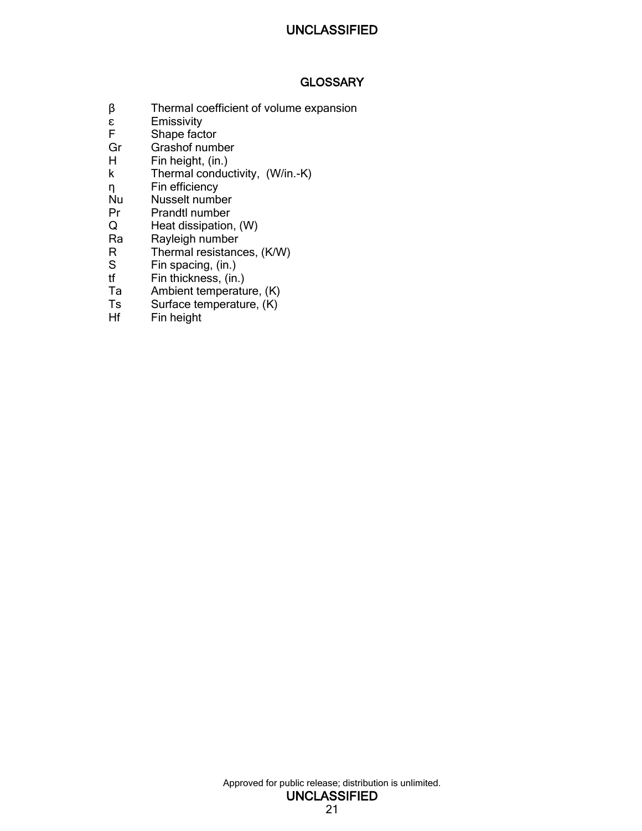### **GLOSSARY**

- <span id="page-28-0"></span> $β$  Thermal coefficient of volume expansion<br>ε Emissivity
- **Emissivity**
- F Shape factor
- Gr Grashof number<br>H Fin height. (in.)
- Fin height, (in.)
- k Thermal conductivity, (W/in.-K)
- η Fin efficiency
- Nu Nusselt number
- Pr Prandtl number<br>Q Heat dissipation
- Heat dissipation, (W)
- Ra Rayleigh number
- R Thermal resistances, (K/W)<br>S Fin spacing, (in.)
- S Fin spacing, (in.)<br>tf Fin thickness, (in.
- tf Fin thickness, (in.)<br>Ta Ambient temperatu
- Ambient temperature, (K)
- Ts Surface temperature, (K)
- Hf Fin height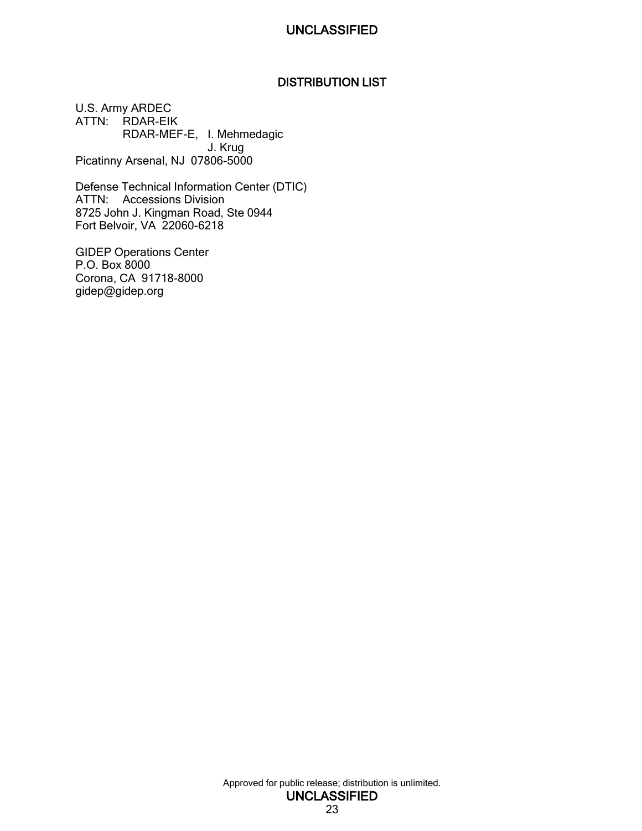### DISTRIBUTION LIST

<span id="page-30-0"></span>U.S. Army ARDEC ATTN: RDAR-EIK RDAR-MEF-E, I. Mehmedagic J. Krug Picatinny Arsenal, NJ 07806-5000

Defense Technical Information Center (DTIC) ATTN: Accessions Division 8725 John J. Kingman Road, Ste 0944 Fort Belvoir, VA 22060-6218

GIDEP Operations Center P.O. Box 8000 Corona, CA 91718-8000 gidep@gidep.org